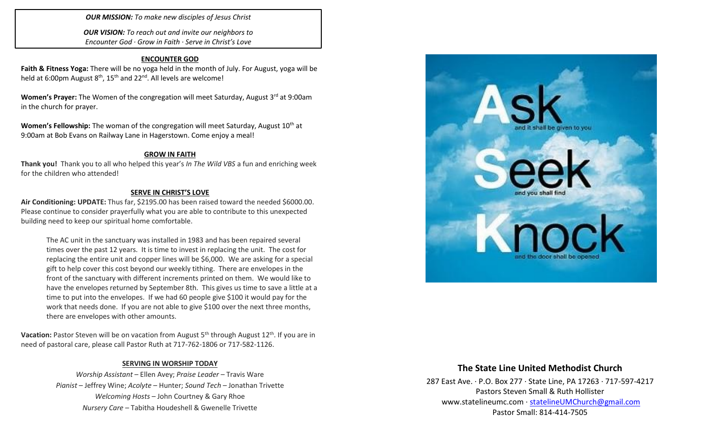### *OUR MISSION: To make new disciples of Jesus Christ*

*OUR VISION: To reach out and invite our neighbors to Encounter God · Grow in Faith · Serve in Christ's Love*

#### **ENCOUNTER GOD**

**Faith & Fitness Yoga:** There will be no yoga held in the month of July. For August, yoga will be held at 6:00pm August  $8<sup>th</sup>$ , 15<sup>th</sup> and 22<sup>nd</sup>. All levels are welcome!

**Women's Prayer:** The Women of the congregation will meet Saturday, August 3<sup>rd</sup> at 9:00am in the church for prayer.

**Women's Fellowship:** The woman of the congregation will meet Saturday, August 10<sup>th</sup> at 9:00am at Bob Evans on Railway Lane in Hagerstown. Come enjoy a meal!

#### **GROW IN FAITH**

**Thank you!** Thank you to all who helped this year's *In The Wild VBS* a fun and enriching week for the children who attended!

#### **SERVE IN CHRIST'S LOVE**

**Air Conditioning: UPDATE:** Thus far, \$2195.00 has been raised toward the needed \$6000.00. Please continue to consider prayerfully what you are able to contribute to this unexpected building need to keep our spiritual home comfortable.

The AC unit in the sanctuary was installed in 1983 and has been repaired several times over the past 12 years. It is time to invest in replacing the unit. The cost for replacing the entire unit and copper lines will be \$6,000. We are asking for a special gift to help cover this cost beyond our weekly tithing. There are envelopes in the front of the sanctuary with different increments printed on them. We would like to have the envelopes returned by September 8th. This gives us time to save a little at a time to put into the envelopes. If we had 60 people give \$100 it would pay for the work that needs done. If you are not able to give \$100 over the next three months, there are envelopes with other amounts.

**Vacation:** Pastor Steven will be on vacation from August 5<sup>th</sup> through August 12<sup>th</sup>. If you are in need of pastoral care, please call Pastor Ruth at 717-762-1806 or 717-582-1126.

#### **SERVING IN WORSHIP TODAY**

*Worship Assistant* – Ellen Avey; *Praise Leader* – Travis Ware *Pianist* – Jeffrey Wine; *Acolyte* – Hunter; *Sound Tech* – Jonathan Trivette *Welcoming Hosts* – John Courtney & Gary Rhoe *Nursery Care* – Tabitha Houdeshell & Gwenelle Trivette



## **The State Line United Methodist Church**

287 East Ave. · P.O. Box 277 · State Line, PA 17263 · 717-597-4217 Pastors Steven Small & Ruth Hollister [www.statelineumc.com](http://www.statelineumc.com/) · [statelineUMChurch@gmail.com](mailto:statelineUMChurch@gmail.com) Pastor Small: 814-414-7505